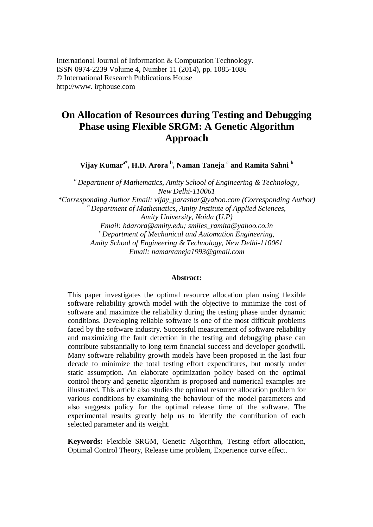## **On Allocation of Resources during Testing and Debugging Phase using Flexible SRGM: A Genetic Algorithm Approach**

**Vijay Kumara\*, H.D. Arora <sup>b</sup> , Naman Taneja <sup>c</sup> and Ramita Sahni <sup>b</sup>**

*<sup>a</sup>Department of Mathematics, Amity School of Engineering & Technology, New Delhi-110061 \*Corresponding Author Email: vijay\_parashar@yahoo.com (Corresponding Author) <sup>b</sup>Department of Mathematics, Amity Institute of Applied Sciences, Amity University, Noida (U.P) Email: hdarora@amity.edu; smiles\_ramita@yahoo.co.in <sup>c</sup>Department of Mechanical and Automation Engineering, Amity School of Engineering & Technology, New Delhi-110061 Email: namantaneja1993@gmail.com*

## **Abstract:**

This paper investigates the optimal resource allocation plan using flexible software reliability growth model with the objective to minimize the cost of software and maximize the reliability during the testing phase under dynamic conditions. Developing reliable software is one of the most difficult problems faced by the software industry. Successful measurement of software reliability and maximizing the fault detection in the testing and debugging phase can contribute substantially to long term financial success and developer goodwill. Many software reliability growth models have been proposed in the last four decade to minimize the total testing effort expenditures, but mostly under static assumption. An elaborate optimization policy based on the optimal control theory and genetic algorithm is proposed and numerical examples are illustrated. This article also studies the optimal resource allocation problem for various conditions by examining the behaviour of the model parameters and also suggests policy for the optimal release time of the software. The experimental results greatly help us to identify the contribution of each selected parameter and its weight.

**Keywords:** Flexible SRGM, Genetic Algorithm, Testing effort allocation, Optimal Control Theory, Release time problem, Experience curve effect.